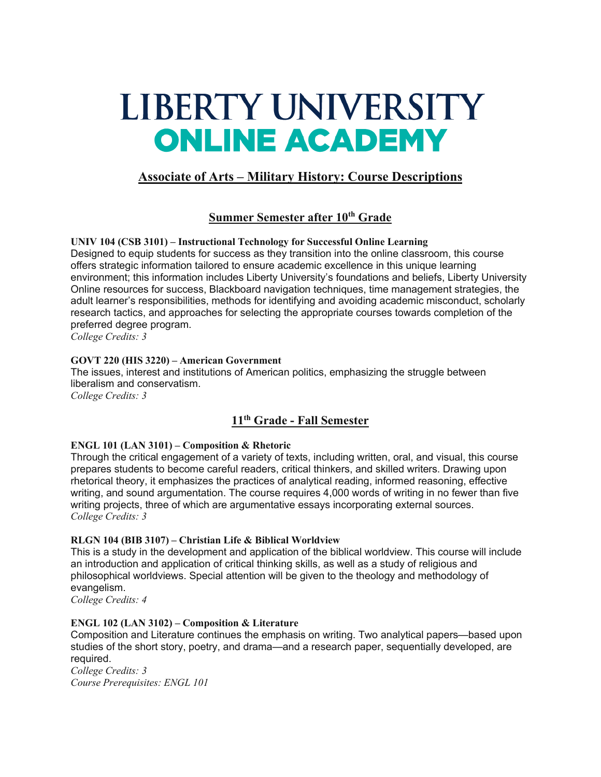# LIBERTY UNIVERSITY **ONLINE ACADEMY**

# **Associate of Arts – Military History: Course Descriptions**

# **Summer Semester after 10th Grade**

**UNIV 104 (CSB 3101) – Instructional Technology for Successful Online Learning** Designed to equip students for success as they transition into the online classroom, this course offers strategic information tailored to ensure academic excellence in this unique learning environment; this information includes Liberty University's foundations and beliefs, Liberty University Online resources for success, Blackboard navigation techniques, time management strategies, the adult learner's responsibilities, methods for identifying and avoiding academic misconduct, scholarly research tactics, and approaches for selecting the appropriate courses towards completion of the preferred degree program.

*College Credits: 3*

#### **GOVT 220 (HIS 3220) – American Government**

The issues, interest and institutions of American politics, emphasizing the struggle between liberalism and conservatism.

*College Credits: 3*

# **11th Grade - Fall Semester**

#### **ENGL 101 (LAN 3101) – Composition & Rhetoric**

Through the critical engagement of a variety of texts, including written, oral, and visual, this course prepares students to become careful readers, critical thinkers, and skilled writers. Drawing upon rhetorical theory, it emphasizes the practices of analytical reading, informed reasoning, effective writing, and sound argumentation. The course requires 4,000 words of writing in no fewer than five writing projects, three of which are argumentative essays incorporating external sources. *College Credits: 3*

#### **RLGN 104 (BIB 3107) – Christian Life & Biblical Worldview**

This is a study in the development and application of the biblical worldview. This course will include an introduction and application of critical thinking skills, as well as a study of religious and philosophical worldviews. Special attention will be given to the theology and methodology of evangelism.

*College Credits: 4*

#### **ENGL 102 (LAN 3102) – Composition & Literature**

Composition and Literature continues the emphasis on writing. Two analytical papers—based upon studies of the short story, poetry, and drama—and a research paper, sequentially developed, are required.

*College Credits: 3 Course Prerequisites: ENGL 101*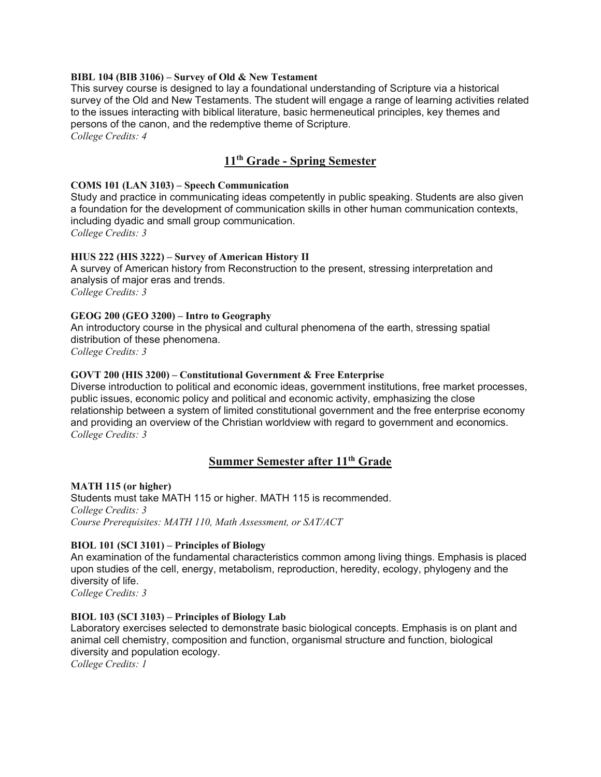#### **BIBL 104 (BIB 3106) – Survey of Old & New Testament**

This survey course is designed to lay a foundational understanding of Scripture via a historical survey of the Old and New Testaments. The student will engage a range of learning activities related to the issues interacting with biblical literature, basic hermeneutical principles, key themes and persons of the canon, and the redemptive theme of Scripture.

*College Credits: 4*

# **11th Grade - Spring Semester**

#### **COMS 101 (LAN 3103) – Speech Communication**

Study and practice in communicating ideas competently in public speaking. Students are also given a foundation for the development of communication skills in other human communication contexts, including dyadic and small group communication. *College Credits: 3*

#### **HIUS 222 (HIS 3222) – Survey of American History II**

A survey of American history from Reconstruction to the present, stressing interpretation and analysis of major eras and trends.

*College Credits: 3*

#### **GEOG 200 (GEO 3200) – Intro to Geography**

An introductory course in the physical and cultural phenomena of the earth, stressing spatial distribution of these phenomena.

*College Credits: 3*

#### **GOVT 200 (HIS 3200) – Constitutional Government & Free Enterprise**

Diverse introduction to political and economic ideas, government institutions, free market processes, public issues, economic policy and political and economic activity, emphasizing the close relationship between a system of limited constitutional government and the free enterprise economy and providing an overview of the Christian worldview with regard to government and economics. *College Credits: 3*

## **Summer Semester after 11th Grade**

**MATH 115 (or higher)** Students must take MATH 115 or higher. MATH 115 is recommended. *College Credits: 3 Course Prerequisites: MATH 110, Math Assessment, or SAT/ACT*

#### **BIOL 101 (SCI 3101) – Principles of Biology**

An examination of the fundamental characteristics common among living things. Emphasis is placed upon studies of the cell, energy, metabolism, reproduction, heredity, ecology, phylogeny and the diversity of life.

*College Credits: 3*

#### **BIOL 103 (SCI 3103) – Principles of Biology Lab**

Laboratory exercises selected to demonstrate basic biological concepts. Emphasis is on plant and animal cell chemistry, composition and function, organismal structure and function, biological diversity and population ecology.

*College Credits: 1*